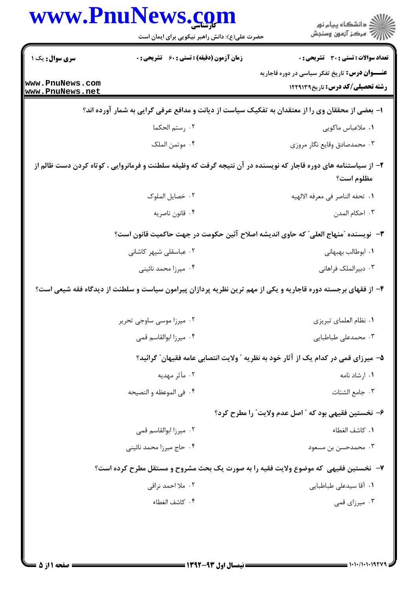|                                    | www.PnuNews.com<br>حضرت علی(ع): دانش راهبر نیکویی برای ایمان است                                                | ڪ دانشڪاه پيا <sub>م</sub> نور<br>∕ <sup>7</sup> مرڪز آزمون وسنڊش                                |
|------------------------------------|-----------------------------------------------------------------------------------------------------------------|--------------------------------------------------------------------------------------------------|
| سری سوال: یک ۱                     | <b>زمان آزمون (دقیقه) : تستی : 60 ٪ تشریحی : 0</b>                                                              | تعداد سوالات : تستى : 30 - تشريحي : 0                                                            |
| www.PnuNews.com<br>www.PnuNews.net |                                                                                                                 | <b>عنـــوان درس:</b> تاریخ تفکر سیاسی در دوره قاجاریه<br><b>رشته تحصیلی/کد درس:</b> تاریخ۱۲۲۹۱۳۹ |
|                                    | ا– بعضی از محققان وی را از معتقدان به تفکیک سیاست از دیانت و مدافع عرفی گرایی به شمار آورده اند؟                |                                                                                                  |
|                                    | ٠٢ رستم الحكما                                                                                                  | ٠١. ملاعباس ماكويي                                                                               |
|                                    | ۰۴ موتمن الملک                                                                                                  | ۰۳ محمدصادق وقايع نگار مروزي                                                                     |
|                                    | ۲– از سیاستنامه های دوره قاجار که نویسنده در آن نتیجه گرفت که وظیفه سلطنت و فرمانروایی ، کوتاه کردن دست ظالم از | مظلوم است؟                                                                                       |
|                                    | ٠٢ خصايل الملوك                                                                                                 | ٠١. تحفه الناصر في معرفه الالهيه                                                                 |
|                                    | ۰۴ قانون ناصريه                                                                                                 | ۰۳ احکام المدن                                                                                   |
|                                    | ٣–  نويسنده ″منهاج العلي″ كه حاوى انديشه اصلاح آئين حكومت در جهت حاكميت قانون است؟                              |                                                                                                  |
|                                    | ۰۲ عباسقلی شپهر کاشانی                                                                                          | ٠١. ابوطالب بهبهاني                                                                              |
|                                    | ۰۴ میرزا محمد نائینی                                                                                            | ۰۳ دبیرالملک فراهانی                                                                             |
|                                    | ۴- از فقهای برجسته دوره قاجاریه و یکی از مهم ترین نظریه پردازان پیرامون سیاست و سلطنت از دیدگاه فقه شیعی است؟   |                                                                                                  |
|                                    | ۰۲ میرزا موسی ساوجی تحریر                                                                                       | ٠١ نظام العلماي تبريزي                                                                           |
|                                    | ۰۴ میرزا ابوالقاسم قمی                                                                                          | ۰۳ محمدعلی طباطبایی                                                                              |
|                                    |                                                                                                                 | ۵– میرزای قمی در کدام یک از آثار خود به نظریه ″ ولایت انتصابی عامه فقیهان″ گرائید؟               |
|                                    | ۰۲ مآثر مهديه                                                                                                   | ۰۱ ارشاد نامه                                                                                    |
|                                    | ۰۴ في الموعظه و النصيحه                                                                                         | ٠٣ جامع الشتات                                                                                   |
|                                    |                                                                                                                 | ۶- نخستين فقيهي بود كه ″ اصل عدم ولايت″ را مطرح كرد؟                                             |
|                                    | ۰۲ میرزا ابوالقاسم قمی                                                                                          | ٠١. كاشف الغطاء                                                                                  |
|                                    | ۰۴ حاج میرزا محمد نائینی                                                                                        | ۰۳ محمدحسن بن مسعود                                                                              |
|                                    | ۷-  نخستین فقیهی که موضوع ولایت فقیه را به صورت یک بحث مشروح و مستقل مطرح کرده است؟                             |                                                                                                  |
|                                    | ۰۲ ملا احمد نراقی                                                                                               | ۰۱ آقا سیدعلی طباطبایی                                                                           |
|                                    | ۰۴ كاشف الغطاء                                                                                                  | ۰۳ میرزای قمی                                                                                    |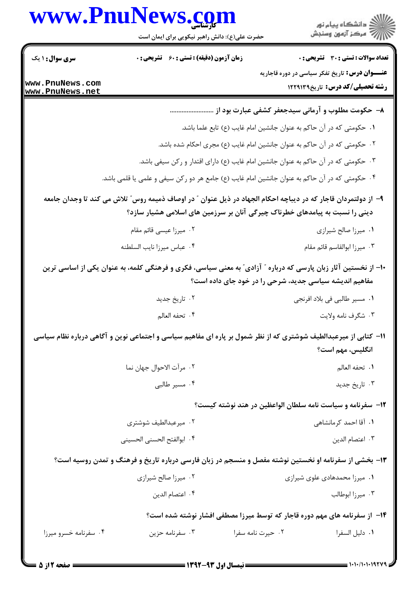## www.PnuNews.com

|                                    | www.PnuNews.com<br>حضرت علی(ع): دانش راهبر نیکویی برای ایمان است | ≦ دانشڪاه پيام نور<br>ج‴ مرڪز آزمون وسنڊش                                                                                                                                                    |
|------------------------------------|------------------------------------------------------------------|----------------------------------------------------------------------------------------------------------------------------------------------------------------------------------------------|
| <b>سری سوال : ۱ یک</b>             | <b>زمان آزمون (دقیقه) : تستی : 60 ٪ تشریحی : 0</b>               | <b>تعداد سوالات : تستی : 30 ٪ تشریحی : 0</b>                                                                                                                                                 |
| www.PnuNews.com<br>www.PnuNews.net |                                                                  | <b>عنـــوان درس:</b> تاریخ تفکر سیاسی در دوره قاجاریه<br><b>رشته تحصیلی/کد درس:</b> تاریخ1۲۲۹۱۳۹                                                                                             |
|                                    |                                                                  | ۸– حکومت مطلوب و آرمانی سیدجعفر کشفی عبارت بود از                                                                                                                                            |
|                                    |                                                                  | ۰۱ حکومتی که در آن حاکم به عنوان جانشین امام غایب (ع) تابع علما باشد.                                                                                                                        |
|                                    |                                                                  | ۲. حکومتی که در آن حاکم به عنوان جانشین امام غایب (ع) مجری احکام شده باشد.                                                                                                                   |
|                                    |                                                                  | ۰۳ حکومتی که در آن حاکم به عنوان جانشین امام غایب (ع) دارای اقتدار و رکن سیفی باشد.                                                                                                          |
|                                    |                                                                  | ۰۴ حکومتی که در آن حاکم به عنوان جانشین امام غایب (ع) جامع هر دو رکن سیفی و علمی یا قلمی باشد.                                                                                               |
|                                    |                                                                  | ۹– از دولتمردان قاجار که در دیباچه احکام الجهاد در ذیل عنوان ″ در اوصاف ذمیمه روس″ تلاش می کند تا وجدان جامعه<br>دینی را نسبت به پیامدهای خطرناک چیرگی آنان بر سرزمین های اسلامی هشیار سازد؟ |
|                                    | ۲. میرزا عیسی قائم مقام                                          | ۰۱ میرزا صالح شیرازی                                                                                                                                                                         |
|                                    | ۰۴ عباس ميرزا نايب السلطنه                                       | ٠٣ ميرزا ابوالقاسم قائم مقام                                                                                                                                                                 |
|                                    |                                                                  | +۱- از نخستین آثار زبان پارسی که درباره ″ آزادی″ به معنی سیاسی، فکری و فرهنگی کلمه، به عنوان یکی از اساسی ترین<br>مفاهیم اندیشه سیاسی جدید، شرحی را در خود جای داده است؟                     |
|                                    | ۰۲ تاریخ جدید                                                    | ٠١ مسير طالبي في بلاد افرنجي                                                                                                                                                                 |
|                                    | ۰۴ تحفه العالم                                                   | ۰۳ شگرف نامه ولايت                                                                                                                                                                           |
|                                    |                                                                  | 11– کتابی از میرعبدالطیف شوشتری که از نظر شمول بر پاره ای مفاهیم سیاسی و اجتماعی نوین و آگاهی درباره نظام سیاسی<br>انگلیس، مهم است؟                                                          |
|                                    | ٠٢ مرآت الاحوال جهان نما                                         | ٠١. تحفه العالم                                                                                                                                                                              |
|                                    | ۰۴ مسیر طالبی                                                    | ۰۳ تاريخ جديد                                                                                                                                                                                |
|                                    |                                                                  | 1۲– سفرنامه و سیاست نامه سلطان الواعظین در هند نوشته کیست؟                                                                                                                                   |
|                                    | ۰۲ میرعبدالطیف شوشتری                                            | ۰۱ آقا احمد کرمانشاهی                                                                                                                                                                        |
|                                    | ۰۴ ابوالفتح الحسنى الحسيني                                       | ٠٣ اعتصام الدين                                                                                                                                                                              |
|                                    |                                                                  | ۱۳- بخشی از سفرنامه او نخستین نوشته مفصل و منسجم در زبان فارسی درباره تاریخ و فرهنگ و تمدن روسیه است؟                                                                                        |
|                                    | ۰۲ میرزا صالح شیرازی                                             | ۰۱ میرزا محمدهادی علوی شیرازی                                                                                                                                                                |
|                                    | ۰۴ اعتصام الدين                                                  | ۰۳ میرزا ابوطالب                                                                                                                                                                             |
|                                    |                                                                  | ۱۴– از سفرنامه های مهم دوره قاجار که توسط میرزا مصطفی افشار نوشته شده است؟                                                                                                                   |
| ۰۴ سفرنامه خسرو میرزا              | ۰۳ سفرنامه حزين                                                  | ۰۲ حیرت نامه سفرا<br>٠١. دليل السفرا                                                                                                                                                         |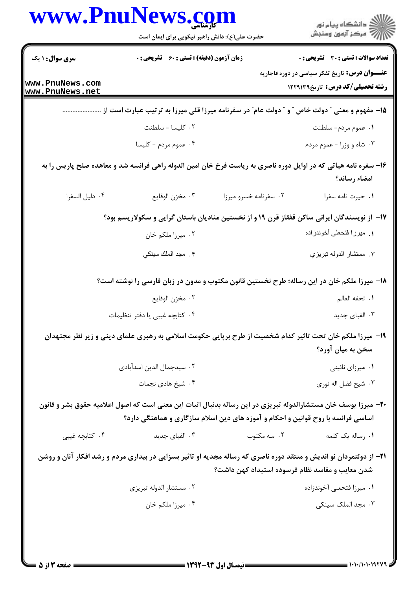|                                    | www.PnuNews.com                                                                  |                                                 | ِ دانشڪاه پيا <sub>م</sub> نور<br>/∕ مرڪز آزمون وسنڊش                                                                           |  |
|------------------------------------|----------------------------------------------------------------------------------|-------------------------------------------------|---------------------------------------------------------------------------------------------------------------------------------|--|
|                                    | حضرت علی(ع): دانش راهبر نیکویی برای ایمان است                                    |                                                 |                                                                                                                                 |  |
| <b>سری سوال : ۱ یک</b>             | <b>زمان آزمون (دقیقه) : تستی : 60 ٪ تشریحی : 0</b>                               |                                                 | تعداد سوالات : تستي : 30 ٪ تشريحي : 0                                                                                           |  |
| www.PnuNews.com<br>www.PnuNews.net |                                                                                  |                                                 | <b>عنـــوان درس:</b> تاریخ تفکر سیاسی در دوره قاجاریه<br><b>رشته تحصیلی/کد درس:</b> تاریخ1۲۲۹۱۳۹                                |  |
|                                    |                                                                                  |                                                 | 1۵- مفهوم و معنی ″ دولت خاص ″ و ″ دولت عام″ در سفرنامه میرزا قلی میرزا به ترتیب عبارت است از …                                  |  |
|                                    | ٠٢ كليسا - سلطنت                                                                 |                                                 | ۰۱ عموم مردم- سلطنت                                                                                                             |  |
|                                    | ۰۴ عموم مردم - کلیسا                                                             |                                                 | ۰۳ شاه و وزرا - عموم مردم                                                                                                       |  |
|                                    |                                                                                  |                                                 | ۱۶– سفره نامه هیاتی که در اوایل دوره ناصری به ریاست فرخ خان امین الدوله راهی فرانسه شد و معاهده صلح پاریس را به<br>امضاء رساند؟ |  |
| ٠۴ دليل السفرا                     | ٠٣ مخزن الوقايع                                                                  | ٠٢ سفرنامه خسرو ميرزا                           | ٠١ حيرت نامه سفرا                                                                                                               |  |
|                                    |                                                                                  |                                                 | ۱۷– از نویسندگان ایرانی ساکن قفقاز قرن ۱۹ و از نخستین منادیان باستان گرایی و سکولاریسم بود؟                                     |  |
|                                    | ۰۲ میرزا ملکم خان                                                                |                                                 | ١. ميرزا فتحعلي أخوندزاده                                                                                                       |  |
|                                    | ۴. مجد الملك سينكي                                                               |                                                 | ٣. مستشار الدوله تبريزي                                                                                                         |  |
|                                    |                                                                                  |                                                 | ۱۸– میرزا ملکم خان در این رساله؛ طرح نخستین قانون مکتوب و مدون در زبان فارسی را نوشته است؟                                      |  |
|                                    | ٠٢ مخزن الوقايع                                                                  |                                                 | ٠١. تحفه العالم                                                                                                                 |  |
|                                    | ۰۴ كتابچه غيبي يا دفتر تنظيمات                                                   |                                                 | ۰۳ الفبای جدید                                                                                                                  |  |
|                                    |                                                                                  |                                                 | ۱۹- میرزا ملکم خان تحت تاثیر کدام شخصیت از طرح برپایی حکومت اسلامی به رهبری علمای دینی و زیر نظر مجتهدان<br>سخن به میان آورد؟   |  |
|                                    | ۰۲ سیدجمال الدین اسدآبادی                                                        |                                                 | ۰۱ میرزای نائینی                                                                                                                |  |
|                                    | ۰۴ شیخ هادی نجمات                                                                |                                                 | ۰۳ شيخ فضل اله نوري                                                                                                             |  |
|                                    | اساسی فرانسه با روح قوانین و احکام و آموزه های دین اسلام سازگاری و هماهنگی دارد؟ |                                                 | +۲- میرزا یوسف خان مستشارالدوله تبریزی در این رساله بدنبال اثبات این معنی است که اصول اعلامیه حقوق بشر و قانون                  |  |
| ۰۴ کتابچه غیبی                     | ۰۳ الفبای جدید                                                                   | ۰۲ سه مکتوب                                     | ۰۱ رساله یک کلمه                                                                                                                |  |
|                                    |                                                                                  | شدن معایب و مفاسد نظام فرسوده استبداد کهن داشت؟ | <b>۳۱</b> - از دولتمردان نو اندیش و منتقد دوره ناصری که رساله مجدیه او تاثیر بسزایی در بیداری مردم و رشد افکار آنان و روشن      |  |
|                                    | ۰۲ مستشار الدوله تبريزي                                                          |                                                 | ۰۱ میرزا فتحعلی آخوندزاده                                                                                                       |  |
|                                    | ۰۴ میرزا ملکم خان                                                                |                                                 | ۰۳ مجد الملک سینکی                                                                                                              |  |
|                                    |                                                                                  |                                                 |                                                                                                                                 |  |
|                                    |                                                                                  |                                                 |                                                                                                                                 |  |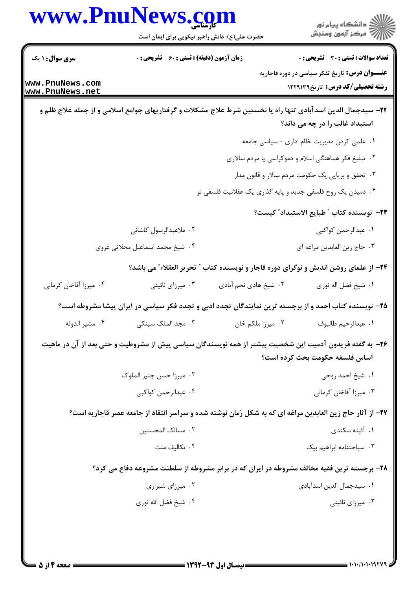|                                    | www.PnuNews.com<br>حضرت علی(ع): دانش راهبر نیکویی برای ایمان است |                                                             | ِ<br>∭ دانشڪاه پيام نور<br>∭ مرڪز آزمون وسنڊش                                                                                                  |
|------------------------------------|------------------------------------------------------------------|-------------------------------------------------------------|------------------------------------------------------------------------------------------------------------------------------------------------|
| <b>سری سوال : ۱ یک</b>             | <b>زمان آزمون (دقیقه) : تستی : 60 ٪ تشریحی : 0</b>               |                                                             | <b>تعداد سوالات : تستی : 30 ٪ تشریحی : 0</b>                                                                                                   |
| www.PnuNews.com<br>www.PnuNews.net |                                                                  |                                                             | <b>عنـــوان درس:</b> تاریخ تفکر سیاسی در دوره قاجاریه<br><b>رشته تحصیلی/کد درس:</b> تاریخ1۲۲۹۱۳۹                                               |
|                                    |                                                                  |                                                             | ۲۲– سیدجمال الدین اسدآبادی تنها راه یا نخستین شرط علاج مشکلات و گرفتاریهای جوامع اسلامی و از جمله علاج ظلم و<br>استبداد غالب را در چه می داند؟ |
|                                    |                                                                  |                                                             | ١. علمي كردن مديريت نظام اداري - سياسي جامعه                                                                                                   |
|                                    |                                                                  |                                                             | ۰۲ تبلیغ فکر هماهنگی اسلام و دموکراسی یا مردم سالاری                                                                                           |
|                                    |                                                                  |                                                             | ۰۳ تحقق و برپایی یک حکومت مردم سالار و قانون مدار                                                                                              |
|                                    |                                                                  | ۰۴ دمیدن یک روح فلسفی جدید و پایه گذاری یک عقلانیت فلسفی نو |                                                                                                                                                |
|                                    |                                                                  |                                                             | <b>٢٣</b> - نويسنده كتاب ″ طبايع الاستبداد″ كيست؟                                                                                              |
|                                    | ۰۲ ملاعبدالرسول کاشانی                                           |                                                             | ٠١. عبدالرحمن كواكبي                                                                                                                           |
|                                    | ۰۴ شیخ محمد اسماعیل محلاتی غروی                                  |                                                             | ۰۳ حاج زين العابدين مراغه اي                                                                                                                   |
|                                    |                                                                  |                                                             | ۲۴- از علمای روشن اندیش و نوگرای دوره قاجار و نویسنده کتاب " تحریر العقلاء ؒ می باشد؟                                                          |
| ۰۴ میرزا آقاخان کرمانی             | ۰۳ میرزای نائینی                                                 | ۰۲ شیخ هادی نجم آبادی                                       | ٠١. شيخ فضل اله نوري                                                                                                                           |
|                                    |                                                                  |                                                             | ۲۵– نویسنده کتاب احمد و از برجسته ترین نمایندگان تجدد ادبی و تجدد فکر سیاسی در ایران پیشا مشروطه است؟                                          |
| ۰۴ مشير الدوله                     | ۰۳ مجد الملک سینکی                                               | ۰۲ میرزا ملکم خان                                           | ٠١. عبدالرحيم طالبوف                                                                                                                           |
|                                    |                                                                  |                                                             | ۲۶– به گفته فریدون آدمیت این شخصیت بیشتر از همه نویسندگان سیاسی پیش از مشروطیت و حتی بعد از آن در ماهیت                                        |
|                                    |                                                                  |                                                             | اساس فلسفه حكومت بحث كرده است؟                                                                                                                 |
|                                    | ۰۲ میرزا حسن جنیر الملوک                                         |                                                             | ٠١ شيخ احمد روحي                                                                                                                               |
|                                    | ۰۴ عبدالرحمن كواكبي                                              |                                                             | ۰۳ میرزا آقاخان کرمانی                                                                                                                         |
|                                    |                                                                  |                                                             | ۲۷- از آثار حاج زین العابدین مراغه ای که به شکل رُمان نوشته شده و سراسر انتقاد از جامعه عصر قاجاریه است؟                                       |
|                                    | ٠٢ مسالک المحسنين                                                |                                                             | ٠١. آئينه سكندى                                                                                                                                |
|                                    | ۰۴ تكاليف ملت                                                    |                                                             | ۰۳ سیاحتنامه ابراهیم بیک                                                                                                                       |
|                                    |                                                                  |                                                             | ۲۸- برجسته ترین فقیه مخالف مشروطه در ایران که در برابر مشروطه از سلطنت مشروعه دفاع می کرد؟                                                     |
|                                    | ۰۲ میرزای شیرازی                                                 |                                                             | ٠١. سيدجمال الدين اسدآبادي                                                                                                                     |
|                                    | ۰۴ شیخ فضل الله نوری                                             |                                                             | ۰۳ میرزای نائینی                                                                                                                               |